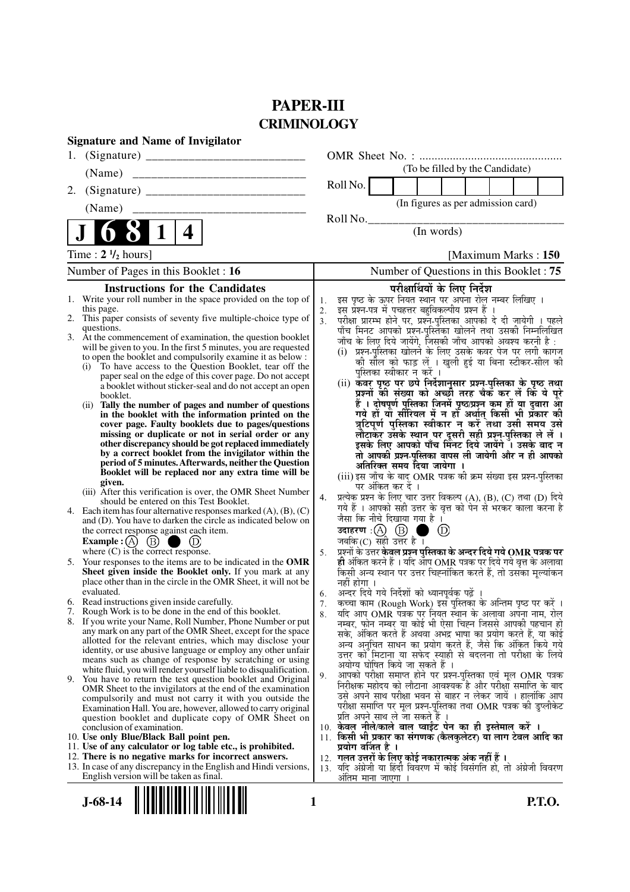# **PAPER-III CRIMINOLOGY**

|    | <b>Signature and Name of Invigilator</b>                                                                                                 |                      |                                                                                                                                                 |
|----|------------------------------------------------------------------------------------------------------------------------------------------|----------------------|-------------------------------------------------------------------------------------------------------------------------------------------------|
| 1. |                                                                                                                                          |                      |                                                                                                                                                 |
|    |                                                                                                                                          |                      | (To be filled by the Candidate)                                                                                                                 |
| 2. |                                                                                                                                          |                      | Roll No.                                                                                                                                        |
|    | (Name)                                                                                                                                   |                      | (In figures as per admission card)                                                                                                              |
|    |                                                                                                                                          |                      | Roll No.                                                                                                                                        |
|    | 4<br>$\bf{l}$                                                                                                                            |                      | (In words)                                                                                                                                      |
|    | Time: $2 \frac{1}{2}$ hours]                                                                                                             |                      | [Maximum Marks: 150]                                                                                                                            |
|    | Number of Pages in this Booklet : 16                                                                                                     |                      | Number of Questions in this Booklet: 75                                                                                                         |
|    | <b>Instructions for the Candidates</b>                                                                                                   |                      | परीक्षार्थियों के लिए निर्देश                                                                                                                   |
|    | 1. Write your roll number in the space provided on the top of<br>this page.                                                              | 1.                   | इस पृष्ठ के ऊपर नियत स्थान पर अपना रोल नम्बर लिखिए ।<br>इस प्रश्न-पत्र में पचहत्तर बहुविकल्पीय प्रश्न हैं ।                                     |
|    | 2. This paper consists of seventy five multiple-choice type of                                                                           | 2.<br>3 <sub>1</sub> | परीक्षा प्रारम्भ होने पर, प्रश्न-पुस्तिका आपको दे दी जायेगी । पहले                                                                              |
|    | questions.<br>3. At the commencement of examination, the question booklet                                                                |                      | पाँच मिनट आपको प्रश्न-पुस्तिका खोलने तथा उसकी निम्नलिखित                                                                                        |
|    | will be given to you. In the first 5 minutes, you are requested                                                                          |                      | जाँच के लिए दिये जायेंगे, जिसकी जाँच आपको अवश्य करनी है:<br>(i) प्रश्न-पुस्तिका खोलने के लिए उसके कवर पेज पर लगी कागज                           |
|    | to open the booklet and compulsorily examine it as below :<br>To have access to the Question Booklet, tear off the                       |                      | की सील को फाड़ लें । खुली हुई या बिना स्टीकर-सील की                                                                                             |
|    | (i)<br>paper seal on the edge of this cover page. Do not accept                                                                          |                      | पस्तिका स्वीकार न करें ।                                                                                                                        |
|    | a booklet without sticker-seal and do not accept an open                                                                                 |                      | (ii) कवर पृष्ठ पर छपे निर्देशानुसार प्रश्न-पुस्तिका के पृष्ठ तथा<br>प्रश्नों की संख्या को अच्छी तरह चैकॅ कर लें किं ये पूरे                     |
|    | booklet.<br>Tally the number of pages and number of questions<br>(ii)                                                                    |                      | हैं । दोषपूर्ण पुस्तिका जिनमें पृष्ठ⁄प्रश्न कम हों या दुबारा आे<br>गये हों या सीरियल में न हो अर्थात् किसी भी प्रकार की                         |
|    | in the booklet with the information printed on the                                                                                       |                      | त्रुटिपूर्ण पुस्तिका स्वीकार न करें तथा उसी समय उसे                                                                                             |
|    | cover page. Faulty booklets due to pages/questions<br>missing or duplicate or not in serial order or any                                 |                      | लौटाकर उसके स्थान पर दूसरी सही प्रश्न-पुस्तिका ले लें ।                                                                                         |
|    | other discrepancy should be got replaced immediately                                                                                     |                      | इसके लिए आपको पाँच मिंनट दिये जायेंगे ँ। उसके बाद न                                                                                             |
|    | by a correct booklet from the invigilator within the<br>period of 5 minutes. Afterwards, neither the Question                            |                      | तो आपकी प्रश्न-पुस्तिका वापस ली जायेगी और न ही आपको                                                                                             |
|    | Booklet will be replaced nor any extra time will be                                                                                      |                      | अतिरिक्त समय दिया जायेगा ।<br>(iii) इस जाँच के बाद OMR पत्रक की क्रम संख्या इस प्रश्न-पुस्तिका                                                  |
|    | given.<br>(iii) After this verification is over, the OMR Sheet Number                                                                    |                      | पर अंकित कर दें ।                                                                                                                               |
|    | should be entered on this Test Booklet.                                                                                                  | 4.                   | प्रत्येक प्रश्न के लिए चार उत्तर विकल्प (A), (B), (C) तथा (D) दिये<br>गये हैं । आपको सही उत्तर के वृत्त को पेन से भरकर काला करना है             |
|    | 4. Each item has four alternative responses marked $(A)$ , $(B)$ , $(C)$<br>and (D). You have to darken the circle as indicated below on |                      | जैसा कि नीचे दिखाया गया है।                                                                                                                     |
|    | the correct response against each item.                                                                                                  |                      | उदाहरण $\alpha$ $\alpha$ $\beta$ $\beta$<br>$^{\circ}$                                                                                          |
|    | Example : (A) $(B)$                                                                                                                      |                      | जबकि $(C)$ सही उत्तर है ।                                                                                                                       |
| 5. | where $(C)$ is the correct response.<br>Your responses to the items are to be indicated in the OMR                                       | 5.                   | प्रश्नों के उत्तर <b>केवल प्रश्न पुस्तिका के अन्दर दिये गये OMR पत्रक पर</b><br>ही अंकित करने हैं । यदि ऑप OMR पत्रक पर दिये गये वृत्त के अलावा |
|    | Sheet given inside the Booklet only. If you mark at any                                                                                  |                      | किसी अन्य स्थान पर उत्तर चिह्नांकित करते हैं, तो उसका मूल्यांकन                                                                                 |
|    | place other than in the circle in the OMR Sheet, it will not be                                                                          |                      | नहीं होगा ।                                                                                                                                     |
|    | evaluated.<br>6. Read instructions given inside carefully.                                                                               | 6.<br>7.             | अन्दर दिये गये निर्देशों को ध्यानपूर्वक पढ़ें ।<br>कृत्वा काम (Rough Work) इस पुस्तिका के अन्तिम पृष्ठ पर करें ।                                |
|    | 7. Rough Work is to be done in the end of this booklet.                                                                                  | 8.                   | यदि आप OMR पत्रक पर नियत स्थान के अलावा अपना नाम, रोल                                                                                           |
|    | 8. If you write your Name, Roll Number, Phone Number or put<br>any mark on any part of the OMR Sheet, except for the space               |                      | नम्बर, फोन नम्बर या कोई भी ऐसा चिह्न जिससे आपकी पहचान हो                                                                                        |
|    | allotted for the relevant entries, which may disclose your                                                                               |                      | सके, अंकित करते हैं अथवा अभद्र भाषा का प्रयोग करते हैं, या कोई<br>अन्य अनुचित साधन का प्रयोग करते हैं, जैसे कि अंकित किये गये                   |
|    | identity, or use abusive language or employ any other unfair<br>means such as change of response by scratching or using                  |                      | उत्तर को मिटाना या सफेद स्याही से बदलना तो परीक्षा के लिये                                                                                      |
|    | white fluid, you will render yourself liable to disqualification.                                                                        |                      | अयोग्य घोषित किये जा सकते हैं ।<br>आपको परीक्षा समाप्त होने पर प्रश्न-पुस्तिका एवं मूल OMR पत्रक                                                |
|    | 9. You have to return the test question booklet and Original<br>OMR Sheet to the invigilators at the end of the examination              | 9.                   | निरीक्षक महोदय को लौटाना आवश्यक है और परीक्षा समाप्ति के बाद                                                                                    |
|    | compulsorily and must not carry it with you outside the                                                                                  |                      | उसे अपने साथ परीक्षा भवन से बाहर न लेकर जायें । हालांकि आप                                                                                      |
|    | Examination Hall. You are, however, allowed to carry original                                                                            |                      | परीक्षा समाप्ति पर मूल प्रश्न-पुस्तिका तथा OMR पत्रक की डुप्लीकेट<br>प्रति अपने साथ ले जा सकते है ।                                             |
|    | question booklet and duplicate copy of OMR Sheet on<br>conclusion of examination.                                                        |                      | 10. केवल नीले/काले बाल प्वाईंट पेन का ही इस्तेमाल करें ।                                                                                        |
|    | 10. Use only Blue/Black Ball point pen.                                                                                                  |                      | 11. किसी भी प्रकार का संगणक (कैलकुलेटर) या लाग टेबल आदि का                                                                                      |
|    | 11. Use of any calculator or log table etc., is prohibited.<br>12. There is no negative marks for incorrect answers.                     |                      | प्रयोग वर्जित है ।<br>12. गलत उत्तरों के लिए कोई नकारात्मक अंक नहीं हैं ।                                                                       |
|    | 13. In case of any discrepancy in the English and Hindi versions,                                                                        |                      | 13. यदि अंग्रेजी या हिंदी विवरण में कोई विसंगति हो, तो अंग्रेजी विवरण                                                                           |
|    | English version will be taken as final.                                                                                                  |                      | ओतम माना जाएगा                                                                                                                                  |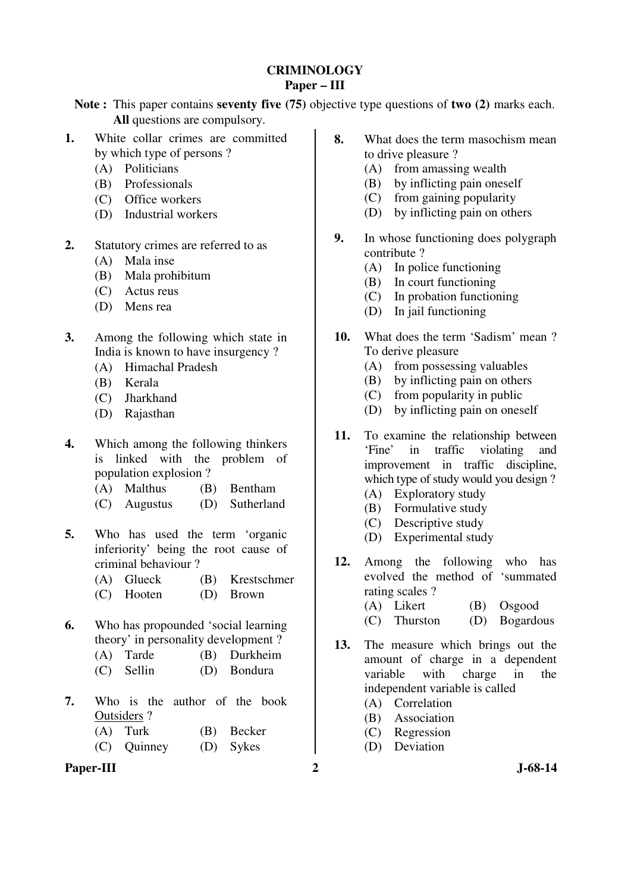### **CRIMINOLOGY Paper – III**

**Note :** This paper contains **seventy five (75)** objective type questions of **two (2)** marks each. **All** questions are compulsory.

- **1.** White collar crimes are committed by which type of persons ?
	- (A) Politicians
	- (B) Professionals
	- (C) Office workers
	- (D) Industrial workers
- **2.** Statutory crimes are referred to as
	- (A) Mala inse
	- (B) Mala prohibitum
	- (C) Actus reus
	- (D) Mens rea
- **3.** Among the following which state in India is known to have insurgency ?
	- (A) Himachal Pradesh
	- (B) Kerala
	- (C) Jharkhand
	- (D) Rajasthan
- **4.** Which among the following thinkers is linked with the problem of population explosion ?
	- (A) Malthus (B) Bentham
	- (C) Augustus (D) Sutherland
- **5.** Who has used the term 'organic inferiority' being the root cause of criminal behaviour ?
	- (A) Glueck (B) Krestschmer
	- (C) Hooten (D) Brown
- **6.** Who has propounded 'social learning theory' in personality development ?
	- (A) Tarde (B) Durkheim
	- (C) Sellin (D) Bondura
- **7.** Who is the author of the book Outsiders ?
	- (A) Turk (B) Becker
	- (C) Quinney (D) Sykes
- Paper-III 2 J-68-14
- **8.** What does the term masochism mean to drive pleasure ?
	- (A) from amassing wealth
	- (B) by inflicting pain oneself
	- (C) from gaining popularity
	- (D) by inflicting pain on others
- **9.** In whose functioning does polygraph contribute ?
	- (A) In police functioning
	- (B) In court functioning
	- (C) In probation functioning
	- (D) In jail functioning
- **10.** What does the term 'Sadism' mean ? To derive pleasure
	- (A) from possessing valuables
	- (B) by inflicting pain on others
	- (C) from popularity in public
	- (D) by inflicting pain on oneself
- **11.** To examine the relationship between 'Fine' in traffic violating and improvement in traffic discipline, which type of study would you design ?
	- (A) Exploratory study
	- (B) Formulative study
	- (C) Descriptive study
	- (D) Experimental study
- **12.** Among the following who has evolved the method of 'summated rating scales ?
	- (A) Likert (B) Osgood
	- (C) Thurston (D) Bogardous
- **13.** The measure which brings out the amount of charge in a dependent variable with charge in the independent variable is called
	- (A) Correlation
	- (B) Association
	- (C) Regression
	- (D) Deviation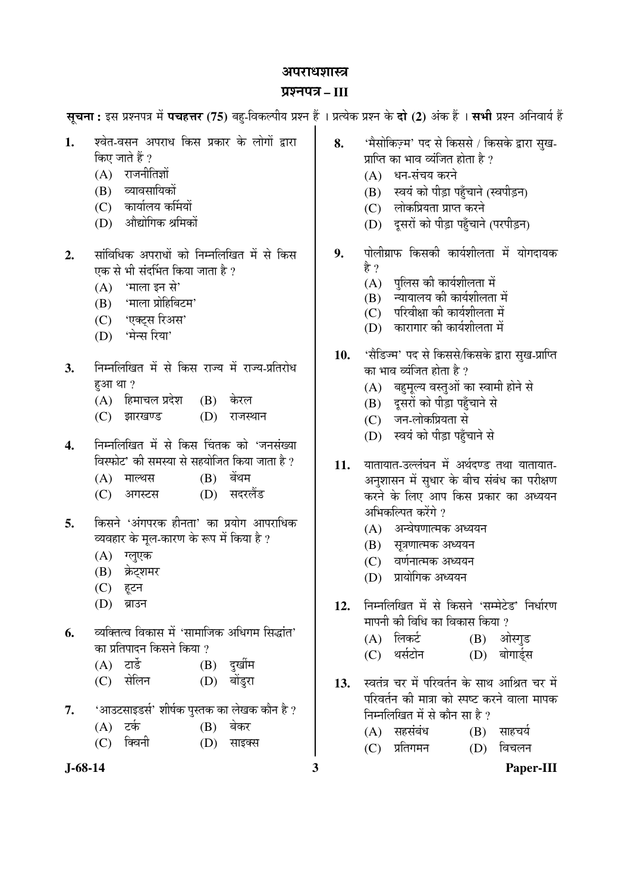#### अपराधशास्त्र

### ¯ÖÏ¿®Ö¯Ö¡Ö **– III**

सूचना: इस प्रश्नपत्र में पचहत्तर (75) बहु-विकल्पीय प्रश्न हैं । प्रत्येक प्रश्न के दो (2) अंक हैं । सभी प्रश्न अनिवार्य हैं

- 1. श्वेत-वसन अपराध किस प्रकार के लोगों द्वारा किए जाते हैं ?
	- $(A)$  राजनीतिज्ञों
	- (B) व्यावसायिकों
	- (C) कार्यालय कर्मियों
	- (D) औद्योगिक श्रमिकों
- 2. सांविधिक अपराधों को निम्नलिखित में से किस एक से भी संदर्भित किया जाता है ?
	- $(A)$  'माला इन से'
	- (B) 'माला प्रोहिबिटम'
	- $(C)$  'एक्टस रिअस'
	- (D) 'मेन्स रिया'
- 3. Fiमलिखित में से किस राज्य में राज्य-प्रतिरोध  $F<sub>5</sub>$ आ $T<sub>2</sub>$ 
	- (A) हिमाचल प्रदेश (B) केरल
	- (C) झारखण्ड (D) राजस्थान
- **4.** ×®Ö´®Ö×»Ö×ÜÖŸÖ ´Öë ÃÖê ×ÛúÃÖ Ø"ÖŸÖÛú ÛúÖê '•Ö®ÖÃÖÓܵÖÖ विस्फोट' की समस्या से सहयोजित किया जाता है ?
	- (A) माल्थस (B) बेंथम
	- (C) आगस्टस (D) सदरलैंड
- **5.** किसने 'अंगपरक हीनता' का प्रयोग आपराधिक व्यवहार के मुल-कारण के रूप में किया है ?
	- $(A)$  ग्लूएक
	- (B) क्रेट्शमर
	- (C) हृटन
	- (D) ब्राउन
- **6.** व्यक्तित्व विकास में 'सामाजिक अधिगम सिद्धांत' का प्रतिपादन किसने किया ?

| $(A)$ टार्ड | $(B)$ दुर्खीम |
|-------------|---------------|
|             |               |

| (C) सेलिन |  | (D) बोंडुरा |
|-----------|--|-------------|
|-----------|--|-------------|

- **7.** 'आउटसाइडर्स' शीर्षक पुस्तक का लेखक कौन है ?
	- $(A)$  टर्क  $(B)$  बेकर
	- (C) क्विनी (D) साइक्स
- 
- 8. <u>'</u>मैसोकिज़्म' पद से किससे / किसके द्वारा सुख-प्राप्ति का भाव व्यंजित होता है ?
	- $(A)$  धन-संचय करने
	- (B) स्वयं को पीड़ा पहुँचाने (स्वपीड़न)
	- (C) लोकप्रियता प्राप्त करने
	- (D) दूसरों को पीड़ा पहुँचाने (परपीड़न)
- **9.** पोलीग्राफ किसकी कार्यशीलता में योगदायक हे ?
	- $(A)$  पुलिस की कार्यशीलता में
	- $(B)$  न्यायालय की कार्यशीलता में
	- $(C)$  परिवीक्षा की कार्यशीलता में
	- $(D)$  कारागार की कार्यशीलता में
- 10. 'सैडिज्म' पद से किससे/किसके द्वारा सुख-प्राप्ति का भाव व्यंजित होता है ?
	- (A) बहमूल्य वस्तुओं का स्वामी होने से
	- (B) दूसरों को पीड़ा पहुँचाने से
	- (C) जन-लोकप्रियता से
	- (D) स्वयं को पीड़ा पहुँचाने से
- 11. यातायात-उल्लंघन में अर्थदण्ड तथा यातायात-अनुशासन में सुधार के बीच संबंध का परीक्षण करने के लिए आप किस प्रकार का अध्ययन अभिकल्पित करेंगे ?
	- $(A)$  अन्वेषणात्मक अध्ययन
	- (B) सूत्रणात्मक अध्ययन
	- (C) वर्णनात्मक अध्ययन
	- (D) प्रायोगिक अध्ययन
- 12. निम्नलिखित में से किसने 'सम्मेटेड' निर्धारण मापनी की विधि का विकास किया ?
	- (A) लिकर्ट (B) ओस्गड
	- (C) थर्सटोन (D) बोगार्डस
- 13. स्वतंत्र चर में परिवर्तन के साथ आश्रित चर में परिवर्तन की मात्रा को स्पष्ट करने वाला मापक निम्नलिखित में से कौन सा $\,$ है ?
	- $(A)$  सहसंबंध  $(B)$  साहचर्य
	- (C) प्रतिगमन (D) विचलन

**J-68-14 3 Paper-III**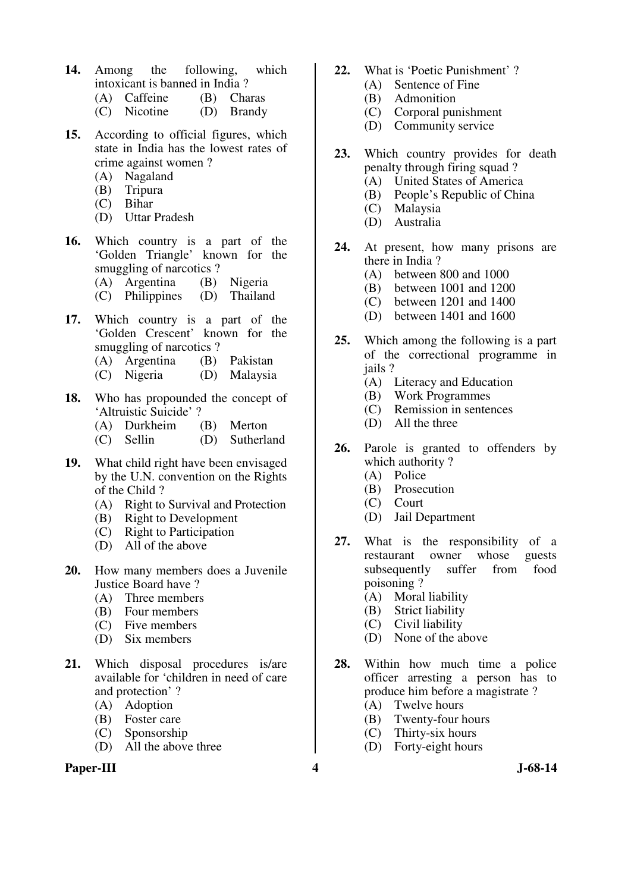- **14.** Among the following, which intoxicant is banned in India ?
	- (A) Caffeine (B) Charas
	- (C) Nicotine (D) Brandy
- **15.** According to official figures, which state in India has the lowest rates of crime against women ?
	- (A) Nagaland
	- (B) Tripura
	- (C) Bihar
	- (D) Uttar Pradesh
- **16.** Which country is a part of the 'Golden Triangle' known for the smuggling of narcotics ?
	-
	- (A) Argentina (B) Nigeria<br>(C) Philippines (D) Thailand  $(C)$  Philippines
- **17.** Which country is a part of the 'Golden Crescent' known for the smuggling of narcotics ?<br>
(A) Argentina (B) Pakistan
	- $(A)$  Argentina
	- (C) Nigeria (D) Malaysia
- **18.** Who has propounded the concept of 'Altruistic Suicide' ?
	- (A) Durkheim (B) Merton
	- (C) Sellin (D) Sutherland
- **19.** What child right have been envisaged by the U.N. convention on the Rights of the Child ?
	- (A) Right to Survival and Protection
	- (B) Right to Development
	- (C) Right to Participation
	- (D) All of the above
- **20.** How many members does a Juvenile Justice Board have ?<br>(A) Three members
	- Three members
	- (B) Four members
	- (C) Five members
	- (D) Six members
- **21.** Which disposal procedures is/are available for 'children in need of care and protection' ?
	- (A) Adoption
	- (B) Foster care
	- (C) Sponsorship
	- (D) All the above three

### Paper-III **4** J-68-14

- **22.** What is 'Poetic Punishment' ?
	- (A) Sentence of Fine<br>(B) Admonition
		- **Admonition**
	- (C) Corporal punishment
	- (D) Community service
- **23.** Which country provides for death penalty through firing squad ?
	- (A) United States of America
	- (B) People's Republic of China
	- (C) Malaysia
	- (D) Australia
- **24.** At present, how many prisons are there in India ?
	- (A) between 800 and 1000
	- (B) between 1001 and 1200
	- (C) between 1201 and 1400
	- (D) between 1401 and 1600
- **25.** Which among the following is a part of the correctional programme in iails ?
	- (A) Literacy and Education
	- (B) Work Programmes<br>(C) Remission in senter
	- Remission in sentences
	- (D) All the three
- **26.** Parole is granted to offenders by which authority?
	- (A) Police
	- (B) Prosecution
	- (C) Court
	- (D) Jail Department
- **27.** What is the responsibility of a restaurant owner whose guests subsequently suffer from food poisoning ?
	- (A) Moral liability
	- (B) Strict liability
	- (C) Civil liability
	- (D) None of the above
- **28.** Within how much time a police officer arresting a person has to produce him before a magistrate ?
	- (A) Twelve hours
	- (B) Twenty-four hours
	- (C) Thirty-six hours
	- (D) Forty-eight hours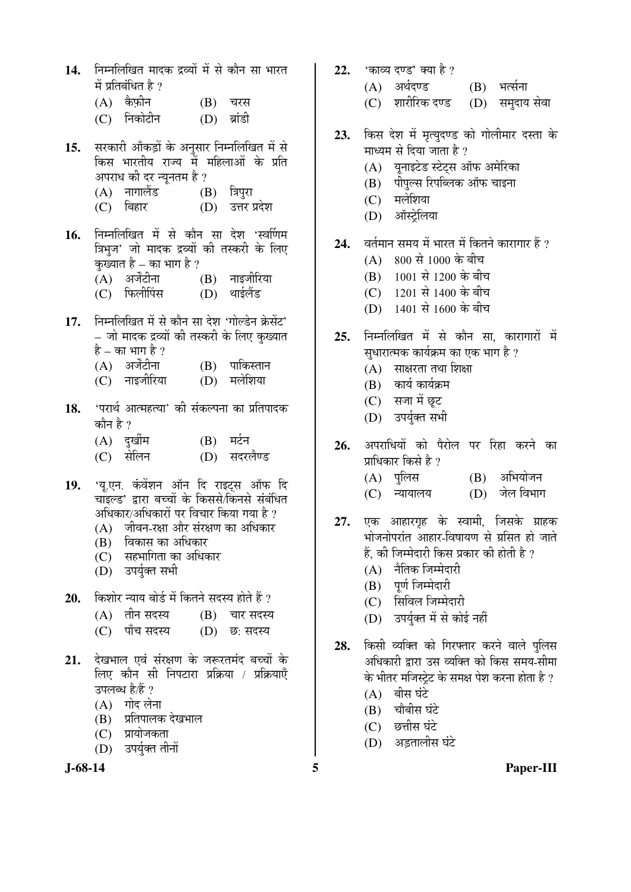- 14. निम्नलिखित मादक द्रव्यों में से कौन सा भारत  $\vec{p}$  प्रतिबंधित है ?
	- $(A)$  कैफ़ीन  $(B)$  चरस
	- (C) निकोटीन (D) ब्रांडी
- 15. सरकारी आँकड़ों के अनुसार निम्नलिखित में से किस भारतीय राज्य में महिलाओं के प्रति अपराध की दर न्यूनतम है ?
	- (A) ®ÖÖÝÖÖ»Öï›ü (B) ס֯Öã¸üÖ
	- (D) उत्तर प्रदेश
- 1**6.** निम्नलिखित में से कौन सा देश 'स्वर्णिम त्रिभुज' जो मादक द्रव्यों की तस्करी के लिए कुख्यात है – का भाग है ?<br>(A) – अर्जेंटीना
	- $(B)$  नाइजीरिया
	- (C) फिलीपिंस (D) थाईलैंड
- 17. निम्नलिखित में से कौन सा देश 'गोल्डेन केसेंट' – जो मादक द्रव्यों की तस्करी के लिए कुख्यात
	- है का भाग है ?<br>(A) अर्जेंटीना (A) अर्जेंटीना (B) पाकिस्तान<br>(C) नाइजीरिया (D) मलेशिया
	- (D) मलेशिया
- 18. 'परार्थ आत्महत्या' की संकल्पना का प्रतिपादक कौन है  $\eta$ 
	- (A) दुर्खीम (B) मर्टन
	- (C) सेलिन (D) सदरलैण्ड
- 19. 'यू.एन. कंवेंशन ऑन दि राइट्स ऑफ दि चाँइल्ड' द्वारा बच्चों के किससे/किनसे संबंधित अधिकार/अधिकारों पर विचार किया गया है ?
	- $(A)$  जीवन-रक्षा और संरक्षण का अधिकार
	- (B) विकास का अधिकार
	- (C) सहभागिता का अधिकार
	- (D) उपर्युक्त सभी
- 20. किशोर न्याय बोर्ड में कितने सदस्य होते हैं ?
	- $(A)$  तीन सदस्य  $(B)$  चार सदस्य
	- (C) पाँच सदस्य (D) छ: सदस्य
- 21. देखभाल एवं संरक्षण के जरूरतमंद बच्चों के लिए कौन सी निपटारा प्रक्रिया / प्रक्रियाएँ उपलब्ध है/हैं ?
	- $(A)$  गोद लेना
	- (B) प्रतिपालक देखभाल
	- (C) प्रायोजकता
	- (D) उपर्यक्त तीनों

- 22. 'काव्य दण्ड' क्या है ?
	- $(A)$  अर्थदण्ड  $(B)$  भर्त्सना
	- (C) शारीरिक दण्ड (D) समदाय सेवा
- 23. किस देश में मृत्युदण्ड को गोलीमार दस्ता के माध्यम से दिया जाता है ?
	- (A) यूनाइटेड स्टेट्स ऑफ अमेरिका
	- $(B)$  पीपल्स रिपब्लिक ऑफ चाइना
	- (C) मलेशिया
	- (D) ऑस्टेलिया
- 24. वर्तमान समय में भारत में कितने कारागार हैं ?
	- $(A) 800 \t{R} 1000 \t{R} 100$
	- $(B)$  1001 से 1200 के बीच
	- (C)  $1201 \text{  $\overrightarrow{R}$ } 1400 \text{  $\overrightarrow{r}$ }$  बीच
	- (D) 1401 से 1600 के बीच
- 25. निम्नलिखित में से कौन सा कारागारों में सधारात्मक कार्यक्रम का एक भाग है ?
	- $(A)$  साक्षरता तथा शिक्षा
	- $(B)$  कार्य कार्यक्रम
	- (C) सजा में छूट
	- (D) उपर्युक्त सभी
- **26.** अपराधियों को पैरोल पर रिहा करने का प्राधिकार किसे है $2$ 
	- (A) पुलिस (B) अभियोजन
	- (C) न्यायालय (D) जेल विभाग
- **27.** एक आहारगृह के स्वामी, जिसके ग्राहक भोजनोपरांत आहार-विषायण से ग्रसित हो जाते हैं, की जिम्मेदारी किस प्रकार की होती है ?
	- $(A)$  नैतिक जिम्मेदारी
	- (B) पर्ण जिम्मेदारी
	- (C) सिविल जिम्मेदारी
	- (D) उपर्युक्त में से कोई नहीं
- 28. किसी व्यक्ति को गिरफ्तार करने वाले पुलिस अधिकारी द्वारा उस व्यक्ति को किस समय-सीमा के भीतर मजिस्टेट के समक्ष पेश करना होता है ?
	- $(A)$  बीस घंटे
	- $(B)$  चौबीस घंटे
	- $(C)$  छत्तीस घंटे
	- (D) अडतालीस घंटे
- **J-68-14 5 Paper-III**
-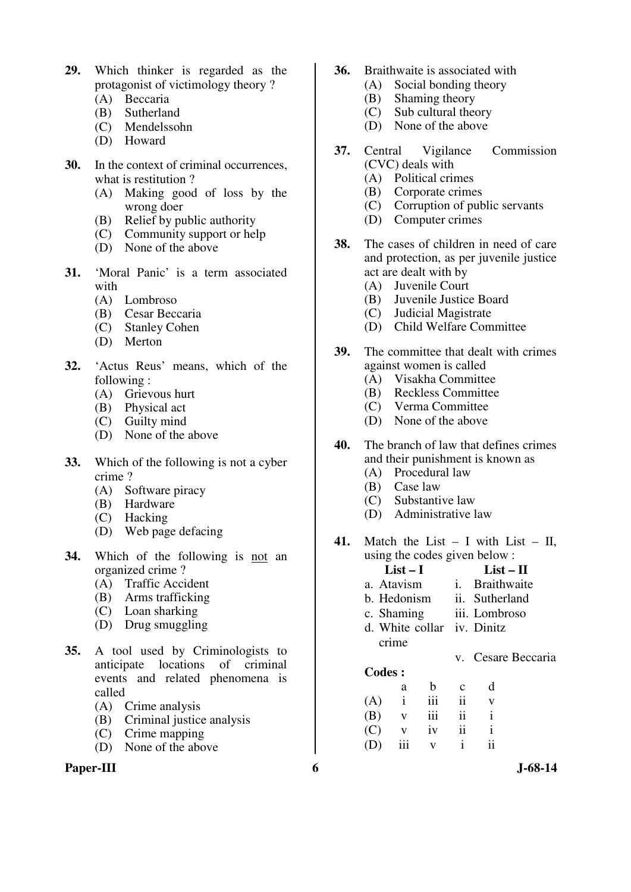- **29.** Which thinker is regarded as the protagonist of victimology theory ?
	- (A) Beccaria
	- (B) Sutherland
	- (C) Mendelssohn
	- (D) Howard
- **30.** In the context of criminal occurrences, what is restitution ?
	- (A) Making good of loss by the wrong doer
	- (B) Relief by public authority
	- (C) Community support or help
	- (D) None of the above
- **31.** 'Moral Panic' is a term associated with
	- (A) Lombroso
	- (B) Cesar Beccaria
	- (C) Stanley Cohen
	- (D) Merton
- **32.** 'Actus Reus' means, which of the following :
	- (A) Grievous hurt
	- (B) Physical act
	- (C) Guilty mind
	- (D) None of the above
- **33.** Which of the following is not a cyber crime ?
	- (A) Software piracy
	- (B) Hardware
	- (C) Hacking
	- (D) Web page defacing
- **34.** Which of the following is not an organized crime ?
	- (A) Traffic Accident
	- (B) Arms trafficking
	- (C) Loan sharking
	- (D) Drug smuggling
- **35.** A tool used by Criminologists to anticipate locations of criminal events and related phenomena is called
	- (A) Crime analysis
	- (B) Criminal justice analysis
	- (C) Crime mapping
	- (D) None of the above

### Paper-III 6 **6** J-68-14

- **36.** Braithwaite is associated with
	- (A) Social bonding theory
	- (B) Shaming theory<br>(C) Sub cultural theory
	- Sub cultural theory
	- (D) None of the above
- **37.** Central Vigilance Commission (CVC) deals with
	- (A) Political crimes
	- (B) Corporate crimes
	- (C) Corruption of public servants
	- (D) Computer crimes
- **38.** The cases of children in need of care and protection, as per juvenile justice act are dealt with by
	- (A) Juvenile Court
	- (B) Juvenile Justice Board
	- (C) Judicial Magistrate
	- (D) Child Welfare Committee
- **39.** The committee that dealt with crimes against women is called<br>(A) Visakha Committe
	- (A) Visakha Committee
	- (B) Reckless Committee
	- (C) Verma Committee
	- (D) None of the above
- **40.** The branch of law that defines crimes and their punishment is known as
	- (A) Procedural law
	- (B) Case law
	- (C) Substantive law
	- (D) Administrative law
- **41.** Match the List I with List II, using the codes given below :
	- **List I List II** a. Atavism i. Braithwaite
	- b. Hedonism ii. Sutherland
	- c. Shaming iii. Lombroso
	- d. White collar iv. Dinitz crime
		- v. Cesare Beccaria
	- **Codes :**
- a b c d  $(A)$  i iii ii v  $(B)$  v iii ii i  $(C)$  v iv ii i (D) iii v i ii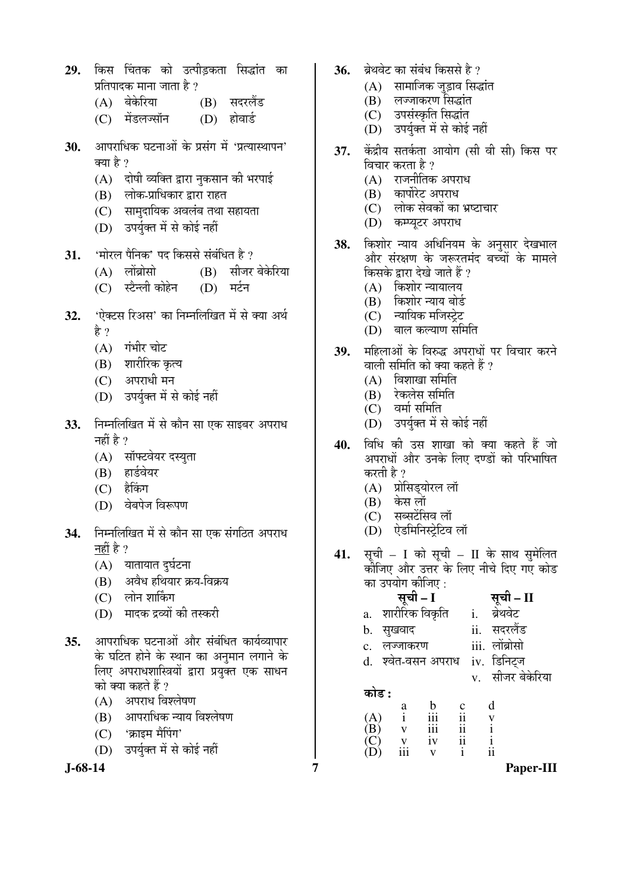- 29. किस चिंतक को उत्पीडकता सिद्धांत का प्रतिपादक माना जाता है ?
	- (A) बेकेरिया (B) सदरलैंड
	- (C) मेंडलज्सॉन (D) होवार्ड
- 30. आपराधिक घटनाओं के प्रसंग में 'प्रत्यास्थापन' क्या है ?
	- $(A)$  दोषी व्यक्ति द्वारा नुकसान की भरपाई
	- (B) लोक-प्राधिकार द्वारा राहत
	- (C) सामुदायिक अवलंब तथा सहायता
	- (D) उपर्युक्त में से कोई नहीं
- 31. <u>'मोरल पैनिक' पद किससे संबंधित है</u> ?
	- (A) लोंब्रोसो (B) सीजर बेकेरिया
	- (C) स्टैन्ली कोहेन (D) मर्टन
- 32. 'ऐक्टस रिअस' का निम्नलिखित में से क्या अर्थ हे ?
	- $(A)$  गंभीर चोट
	- (B) शारीरिक कृत्य
	- $(C)$  अपराधी मन
	- (D) उपर्युक्त में से कोई नहीं
- 33. FHमलिखित में से कौन सा एक साइबर अपराध नहीं है $?$ 
	- (A) सॉफ्टवेयर दस्युता
	- (B) हार्डवेयर
	- (C) हैकिंग
	- (D) वेबपेज विरूपण
- **34.** निम्नलिखित में से कौन सा एक संगठित अपराध नहीं है ?
	- $(A)$  यातायात दुर्घटना
	- (B) अवैध हथियार क्रय-विक्रय
	- (C) लोन शार्किंग
	- (D) मादक द्रव्यों की तस्करी
- 35. आपराधिक घटनाओं और संबंधित कार्यव्यापार के घटित होने के स्थान का अनुमान लगाने के लिए अपराधशास्त्रियों द्वारा प्रयुक्त एक साधन को क्या कहते हैं ?
	- $(A)$  अपराध विश्लेषण
	- (B) आपराधिक न्याय विश्लेषण
	- (C) 'क्राइम मैपिंग'
	- (D) उपर्युक्त में से कोई नहीं

- 36. ब्रेथवेट का संबंध किससे है ?
	- $(A)$  सामाजिक जुड़ाव सिद्धांत
	- $(B)$  लञ्जाकरण सिद्धांत
	- (C) उपसंस्कृति सिद्धांत
	- (D) उपर्युक्त में से कोई नहीं
- **37.** केंद्रीय सतर्कता आयोग (सी वी सी) किस पर विचार करता है ?
	- $(A)$  राजनीतिक अपराध
	- $(B)$  कार्पोरेट अपराध
	- (C) लोक सेवकों का भ्रष्टाचार
	- (D) कम्प्यूटर अपराध
- 38. किशोर न्याय अधिनियम के अनुसार देखभाल ओर संरक्षण के जरूरतमंद बच्चों के मामले किसके द्वारा देखे जाते हैं ?
	- $(A)$  किशोर न्यायालय
	- (B) किशोर न्याय बोर्ड
	- (C) न्यायिक मजिस्ट्रेट
	- $(D)$  बाल कल्याण समिति
- 39. महिलाओं के विरुद्ध अपराधों पर विचार करने वाली समिति को क्या कहते हैं ?
	- $(A)$  aिशाखा समिति
	- (B) रेकलेस समिति
	- $(C)$  वर्मा समिति
	- (D) उपर्यक्त में से कोई नहीं
- **40.** विधि की उस शाखा को क्या कहते हैं जो अपराधों और उनके लिए दण्डों को परिभाषित करती है ?
	- (A) प्रोसिड्योरल लॉ
	- (B) केस लॉ
	- $(C)$  सब्सटेंसिव लॉ
	- (D) ऐडमिनिस्ट्रेटिव लॉ
- **41.** सूची I को सूची II के साथ सुमेलित कोजिए और उत्तर के लिए नीचे दिए गए कोड
	- का उपयोग कीजिए :<br>स्**ची I सूची – II**<br>i. ब्रेथवेट a. शारीरिक विक्रति b. ÃÖãÜÖ¾ÖÖ¤ü ii. ÃÖ¤ü¸ü»Öï›ü c. लज्जाकरण iii. लोंब्रोसो
	- d. श्वेत-वसन अपराध iv. डिनिटज
		- v. सीजर बेकेरिया

󜅐ݟ **:** 

 a b c d  $(A)$  i iii ii v<br>  $(B)$  v iii ii i  $\begin{matrix} (B) & v & \text{iii} & \text{ii} \\ (C) & v & \text{iv} & \text{ii} \end{matrix}$  $\begin{matrix} (C) & v & iv & ii & i \\ (D) & iii & v & i & ii \end{matrix}$ (D) iii v i ii

**J-68-14 7 Paper-III**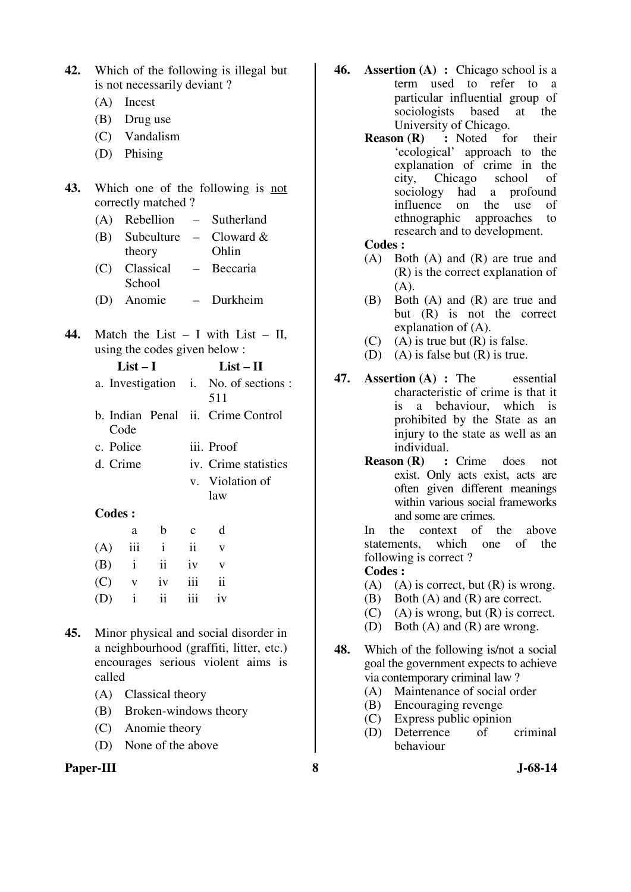| 42. | Which of the following is illegal but |                |                             |             |                                                                                                                                   |
|-----|---------------------------------------|----------------|-----------------------------|-------------|-----------------------------------------------------------------------------------------------------------------------------------|
|     |                                       |                | is not necessarily deviant? |             |                                                                                                                                   |
|     | (A)                                   | Incest         |                             |             |                                                                                                                                   |
|     |                                       | $(B)$ Drug use |                             |             |                                                                                                                                   |
|     |                                       |                | (C) Vandalism               |             |                                                                                                                                   |
|     |                                       | (D) Phising    |                             |             |                                                                                                                                   |
| 43. |                                       |                | correctly matched?          |             | Which one of the following is not                                                                                                 |
|     |                                       |                | (A) Rebellion               |             | - Sutherland                                                                                                                      |
|     |                                       |                |                             |             | (B) Subculture – Cloward $\&$                                                                                                     |
|     |                                       | theory         |                             |             | Ohlin                                                                                                                             |
|     |                                       | School         | (C) Classical               |             | - Beccaria                                                                                                                        |
|     |                                       |                | (D) Anomie                  |             | - Durkheim                                                                                                                        |
| 44. |                                       | $List-I$       |                             |             | Match the List $- I$ with List $- II$ ,<br>using the codes given below:<br>$List - II$                                            |
|     |                                       |                |                             |             | a. Investigation i. No. of sections :                                                                                             |
|     |                                       |                |                             |             | 511                                                                                                                               |
|     |                                       | Code           |                             |             | b. Indian Penal ii. Crime Control                                                                                                 |
|     | c. Police                             |                |                             |             | iii. Proof                                                                                                                        |
|     | d. Crime                              |                |                             |             | iv. Crime statistics                                                                                                              |
|     |                                       |                |                             |             | v. Violation of                                                                                                                   |
|     |                                       |                |                             |             | law                                                                                                                               |
|     | <b>Codes:</b>                         |                |                             |             |                                                                                                                                   |
|     |                                       | a              | b                           | $\mathbf c$ | d                                                                                                                                 |
|     | (A)                                   | iii            | i                           | ii          | V                                                                                                                                 |
|     | (B)                                   | $\mathbf{i}$   | ii                          | iv          | $\mathbf V$                                                                                                                       |
|     | (C)                                   | $\mathbf V$    | iv                          | iii         | $\ddot{\mathbf{i}}$                                                                                                               |
|     | (D)                                   | $\mathbf{i}$   | ii                          | iii         | iv                                                                                                                                |
| 45. |                                       |                |                             |             | Minor physical and social disorder in<br>a neighbourhood (graffiti, litter, etc.)<br>encourages serious violent aims<br><i>is</i> |

- called (A) Classical theory
- (B) Broken-windows theory
- (C) Anomie theory
- (D) None of the above

# **Paper-III 8 J-68-14**

- **46. Assertion (A) :** Chicago school is a term used to refer to a particular influential group of sociologists based at the University of Chicago.
	- **Reason (R) :** Noted for their 'ecological' approach to the explanation of crime in the city, Chicago school of a profound influence on the use of ethnographic approaches to research and to development.

### **Codes :**

- (A) Both (A) and (R) are true and (R) is the correct explanation of  $(A)$ .
- (B) Both (A) and (R) are true and but (R) is not the correct explanation of (A).
- (C) (A) is true but  $(R)$  is false.
- (D) (A) is false but (R) is true.
- **47. Assertion (A) :** The essential characteristic of crime is that it is a behaviour, which is prohibited by the State as an injury to the state as well as an
	- individual.<br>Reason (R) : **:** Crime does not exist. Only acts exist, acts are often given different meanings within various social frameworks and some are crimes.

 In the context of the above statements, which one of the following is correct ?

### **Codes :**

- (A) (A) is correct, but  $(R)$  is wrong.
- (B) Both (A) and (R) are correct.
- $(C)$  (A) is wrong, but  $(R)$  is correct.
- (D) Both (A) and (R) are wrong.
- **48.** Which of the following is/not a social goal the government expects to achieve via contemporary criminal law ?
	- (A) Maintenance of social order<br>(B) Encouraging revenge
	- Encouraging revenge
	- (C) Express public opinion
	- (D) Deterrence of criminal behaviour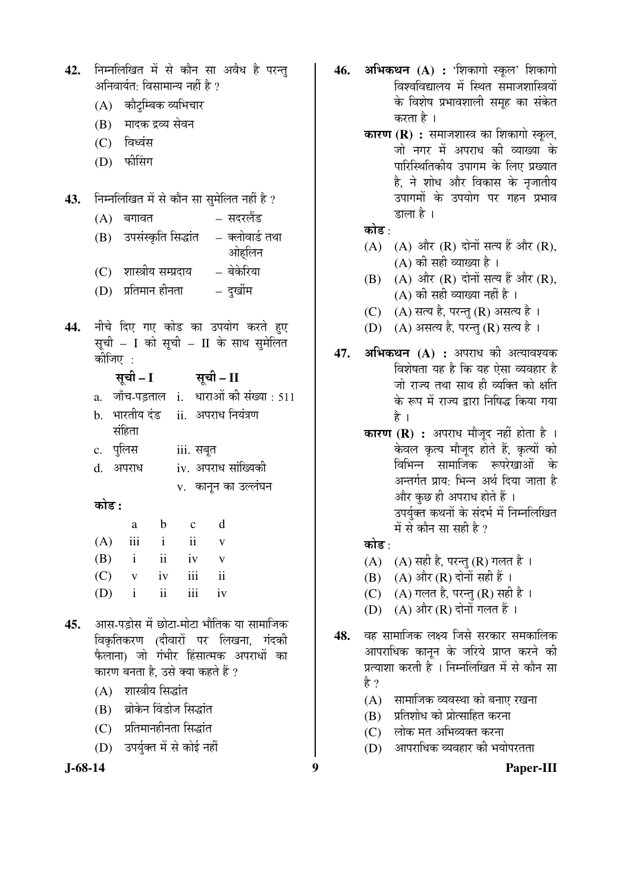|     |         | (A) – જાેદ્રામ્લેજ વ્યામચાર |                        |                                             |  |
|-----|---------|-----------------------------|------------------------|---------------------------------------------|--|
|     |         | (B) मादक द्रव्य सेवन        |                        |                                             |  |
|     |         | (C) विध्वंस                 |                        |                                             |  |
|     |         | (D) फीसिंग                  |                        |                                             |  |
|     |         |                             |                        |                                             |  |
| 43. |         |                             |                        | निम्नलिखित में से कौन सा सुमेलित नहीं है ?  |  |
|     |         | $(A)$ बगावत                 |                        | – सदरलैंड                                   |  |
|     |         |                             |                        | (B) उपसंस्कृति सिद्धांत   – क्लोवार्ड तथा   |  |
|     |         |                             |                        | ओहलिन                                       |  |
|     |         |                             |                        | (C) शास्त्रीय सम्प्रदाय     = बेकेरिया      |  |
|     |         |                             |                        | (D) प्रतिमान हीनता               दुर्खीम    |  |
|     |         |                             |                        |                                             |  |
| 44. |         |                             |                        | नीचे दिए गए कोड का उपयोग करते हुए           |  |
|     |         |                             |                        | सूची - I को सूची - II के साथ सुमेलित        |  |
|     | कीजिए : |                             |                        |                                             |  |
|     |         |                             | सूची – I सूची – II     |                                             |  |
|     |         |                             |                        | a. जाँच-पड़ताल i. धाराओं की संख्या : 511    |  |
|     |         |                             |                        | b. भारतीय दंड ii. अपराध नियंत्रण            |  |
|     |         | संहिता                      |                        |                                             |  |
|     |         |                             | c. पुलिस     iii. सबूत |                                             |  |
|     |         | d. अपराध                    |                        | iv. अपराध सांख्यिकी                         |  |
|     |         |                             |                        | v. कानून का उल्लंघन                         |  |
|     | कोड :   |                             |                        |                                             |  |
|     |         |                             | a b c d                |                                             |  |
|     |         |                             | $(A)$ iii i ii v       |                                             |  |
|     |         |                             | $(B)$ i ii iv v        |                                             |  |
|     |         |                             | (C) v iv iii ii        |                                             |  |
|     |         |                             | $(D)$ i ii iii iv      |                                             |  |
|     |         |                             |                        | 45. आस-पड़ोस में छोटा-मोटा भौतिक या सामाजिक |  |
|     |         |                             |                        |                                             |  |

42. निम्नलिखित में से कौन सा अवैध है परन्त

अनिवार्यत: विसामान्य नहीं है ?  $\sim$ 

- विकृतिकरण (दीवारों पर लिखना, गंदक<mark>ी</mark> फैलाना) जो गंभीर हिंसात्मक अपराधों का कारण बनता है, उसे क्या कहते हैं ?
	- $(A)$  शास्त्रीय सिद्धांत
	- (B) ब्रोकेन विंडोज सिद्धांत
	- $(C)$  प्रतिमानहीनता सिद्धांत
	- (D) उपर्युक्त में से कोई नहीं

- 46. अभिकथन (A) : 'शिकागो स्कूल' शिकागो विश्वविद्यालय में स्थित समाजशास्त्रियों के विशेष प्रभावशाली समूह का संकेत करता है ।
	- **कारण (R) :** समाजशास्त्र का शिकागो स्कुल, जो नगर में अपराध की व्याख्या के पारिस्थितिकीय उपागम के लिए प्रख्यात है, ने शोध और विकास के नृजातीय उपागमों के उपयोग पर गहन प्रभाव डाला है ।
	- कोड $\cdot$
	- $(A)$   $(A)$  और  $(R)$  दोनों सत्य हैं और  $(R)$ ,  $(A)$  की सही व्याख्या है।
	- $(B)$   $(A)$  और  $(R)$  दोनों सत्य हैं और  $(R)$ ,  $(A)$  की सही व्याख्या नहीं है ।
	- (C) (A) सत्य है, परन्तु (R) असत्य है।
	- (D) (A) असत्य है, परन्तु (R) सत्य है।
- **47. अभिकथन (A) :** अपराध की अत्यावश्यक विशेषता यह है कि यह ऐसा व्यवहार है जो राज्य तथा साथ ही व्यक्ति को क्षति के रूप में राज्य द्रारा निषिद्ध किया गया है $\perp$ 
	- **कारण (R) :** अपराध मौजूद नहीं होता है । केवल कृत्य मौजूद होते हैं, कृत्यों को विभिन्न सामाजिक रूपरेखाओं के अन्तर्गत प्राय: भिन्न अर्थ दिया जाता है और कुछ ही अपराध होते हैं । उपर्युक्त कथनों के संदर्भ में निम्नलिखित में से कौन सा सही है ?

### कोड़ $\cdot$

- (A)  $(A)$  सही है, परन्तु (R) गलत है।
- $(B)$   $(A)$  और  $(R)$  दोनों सही हैं।
- (C)  $(A)$  गलत है, परन्तु (R) सही है।
- (D)  $(A)$  और  $(R)$  दोनों गलत हैं ।
- 48. वह सामाजिक लक्ष्य जिसे सरकार समकालिक आपराधिक कानून के जरिये प्राप्त करने की प्रत्याशा करती है<sup>ं</sup>। निम्नलिखित में से कौन सा हे ?
	- $(A)$  सामाजिक व्यवस्था को बनाए रखना
	- $(B)$  प्रतिशोध को प्रोत्साहित करना
	- (C) लोक मत अभिव्यक्त करना
	- $(D)$  ) आपराधिक व्यवहार की भयोपरतता

**J-68-14 9 Paper-III**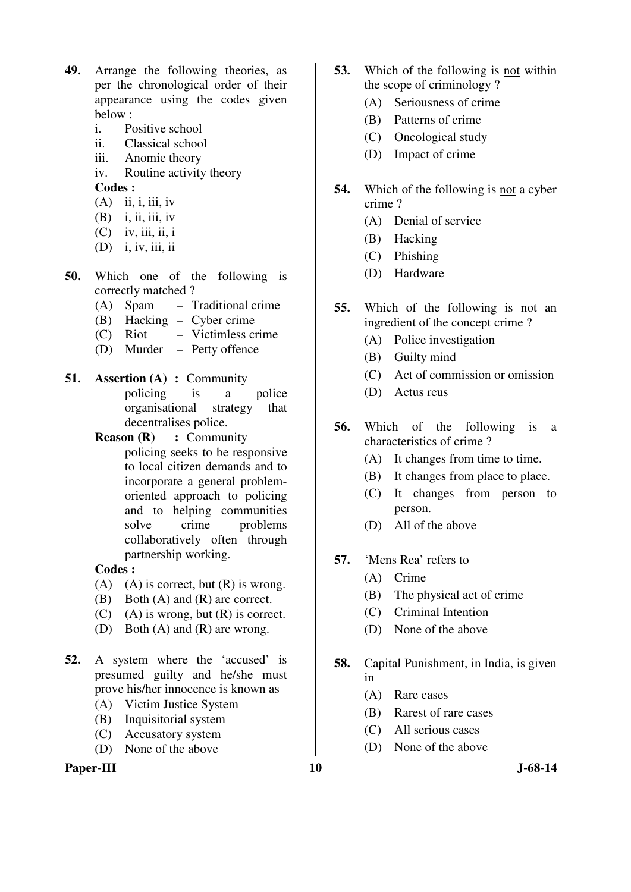- **49.** Arrange the following theories, as per the chronological order of their appearance using the codes given below :
	- i. Positive school
	- ii. Classical school
	- iii. Anomie theory
	- iv. Routine activity theory  **Codes :**

- $(A)$  ii, i, iii, iv  $(B)$  i, ii, iii, iv
- $(C)$  iv, iii, ii, i
- (D) i, iv, iii, ii
- **50.** Which one of the following is correctly matched ?
	- (A) Spam Traditional crime
	- (B) Hacking Cyber crime
	- (C) Riot Victimless crime
	- (D) Murder Petty offence
- **51. Assertion (A) :** Community policing is a police organisational strategy that decentralises police.
	- **Reason (R) : Community** policing seeks to be responsive to local citizen demands and to incorporate a general problemoriented approach to policing and to helping communities solve crime problems collaboratively often through partnership working.

# **Codes :**

- (A) (A) is correct, but  $(R)$  is wrong.
- (B) Both (A) and (R) are correct.
- (C) (A) is wrong, but  $(R)$  is correct.
- (D) Both (A) and (R) are wrong.
- **52.** A system where the 'accused' is presumed guilty and he/she must prove his/her innocence is known as
	- (A) Victim Justice System
	- (B) Inquisitorial system
	- (C) Accusatory system
	- (D) None of the above

# Paper-III **10** J-68-14

- **53.** Which of the following is not within the scope of criminology ?
	- (A) Seriousness of crime
	- (B) Patterns of crime
	- (C) Oncological study
	- (D) Impact of crime
- **54.** Which of the following is not a cyber crime ?
	- (A) Denial of service
	- (B) Hacking
	- (C) Phishing
	- (D) Hardware
- **55.** Which of the following is not an ingredient of the concept crime ?
	- (A) Police investigation
	- (B) Guilty mind
	- (C) Act of commission or omission
	- (D) Actus reus
- **56.** Which of the following is a characteristics of crime ?
	- (A) It changes from time to time.
	- (B) It changes from place to place.
	- (C) It changes from person to person.
	- (D) All of the above
- **57.** 'Mens Rea' refers to
	- (A) Crime
	- (B) The physical act of crime
	- (C) Criminal Intention
	- (D) None of the above
- **58.** Capital Punishment, in India, is given in
	- (A) Rare cases
	- (B) Rarest of rare cases
	- (C) All serious cases
	- (D) None of the above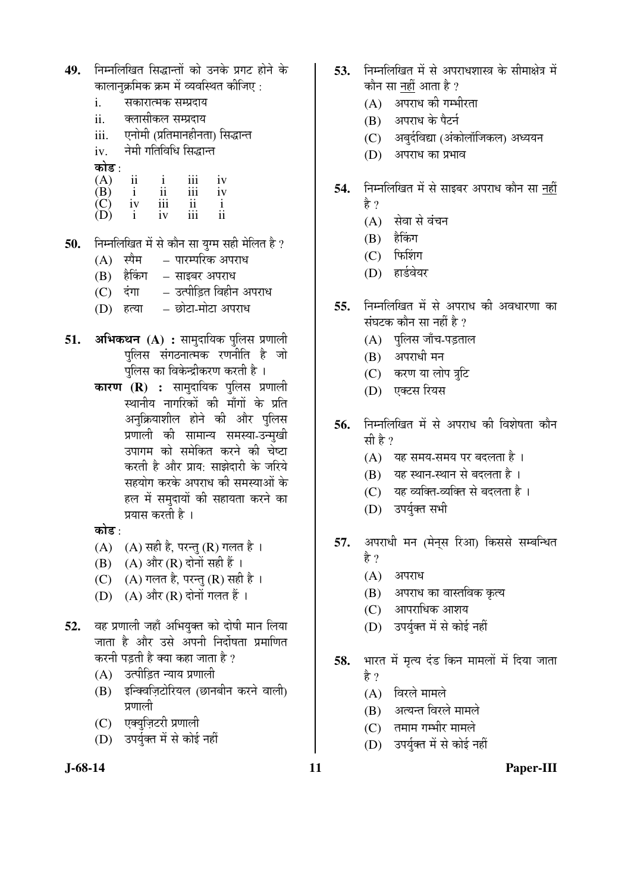| 49. निम्नलिखित सिद्धान्तों को उनके प्रगट होने के |  |
|--------------------------------------------------|--|
| कालानुक्रमिक क्रम में व्यवस्थित कीजिए :          |  |

- i. सकारात्मक सम्प्रदाय
- ii. क्लासीकल सम्प्रदाय
- iii. एनोमी (प्रतिमानहीनता) सिद्धान्त
- iv. नेमी गतिविधि सिद्धान्त

कोड :

| $\mathbf{A}$           | 11 |           | 111 | 1V        |
|------------------------|----|-----------|-----|-----------|
| (B)                    |    | . .<br>11 | 111 | 1V        |
| $\mathcal{C}^{\infty}$ | 1V | .<br>111  | 11  |           |
| (D)                    |    | ٠<br>1V   | 111 | . .<br>11 |

- 50. निम्नलिखित में से कौन सा युग्म सही मेलित है ?
	- (A) स्पैम पारम्परिक अपराध
	- (B) हैकिंग साइबर अपराध
	- (C) दंगा उत्पीड़ित विहीन अपराध
	- (D) हत्या छोटा-मोटा अपराध
- **51. अभिकथन (A) :** सामुदायिक पुलिस प्रणाली पलिस संगठनात्मक रणनीति है जो पलिस का विकेन्द्रीकरण करती है ।
	- **कारण (R) :** सामदायिक पुलिस प्रणाली स्थानीय नागरिकों की माँगों के प्रति अनुक्रियाशील होने की और पुलिस प्रणाली की सामान्य समस्या-उन्मुखी उपागम को समेकित करने की चेष्टा करती है और प्राय: साझेदारी के जरिये सहयोग करके अपराध की समस्याओं के हल में समुदायों की सहायता करने का प्रयास करती है ।

कोड :

- $(A)$   $(A)$  सही है, परन्तु  $(R)$  गलत है।
- $(B)$   $(A)$  और  $(R)$  दोनों सही हैं ।
- (C)  $(A)$  गलत है, परन्तु (R) सही है ।
- (D)  $(A)$  और  $(R)$  दोनों गलत हैं ।
- 52. वह प्रणाली जहाँ अभियुक्त को दोषी मान लिया <u>जाता है और उसे अपनी निर्दोषता प्रमाणित</u> करनी पडती है क्या कहा जाता है ?
	- (A) उत्पीड़ित न्याय प्रणाली
	- (B) इन्क्विज़िटोरियल (छानबीन करने वाली) प्रणाली
	- (C) एक्युज़िटरी प्रणाली
	- (D) उपर्युक्त में से कोई नहीं
- 
- 53. निम्नलिखित में से अपराधशास्त्र के सीमाक्षेत्र में कौन सा नहीं आता है ?
	- $(A)$  अपराध की गम्भीरता
	- (B) अपराध के पैटर्न
	- (C) अबुर्दविद्या (अंकोलॉजिकल) अध्ययन
	- $(D)$  अपराध का प्रभाव
- **54.** निम्नलिखित में से साइबर अपराध कौन सा <u>नहीं</u> हे ?
	- $(A)$  सेवा से वंचन
	- $(B)$  हैकिंग
	- $(C)$  फिशिंग
	- (D) हार्डवेयर
- 55. निम्नलिखित में से अपराध की अवधारणा का संघटक कौन सा नहीं है ?
	- $(A)$  पुलिस जाँच-पड़ताल
	- $(B)$  अपराधी मन
	- (C) करण या लोप त्रूटि
	- (D) एक्टस रियस
- **56.** निम्नलिखित में से अपराध की विशेषता कौन सी है ?
	- $(A)$  यह समय-समय पर बदलता है।
	- (B) यह स्थान-स्थान से बदलता है।
	- (C) यह व्यक्ति-व्यक्ति से बदलता है ।
	- (D) उपर्युक्त सभी
- **57.** अपराधी मन (मेन्**स रिआ) किससे सम्बन्धित** है ?
	- $(A)$  अपराध
	- (B) । अपराध का वास्तविक कृत्य
	- $(C)$  आपराधिक आशय
	- (D) उपर्युक्त में से कोई नहीं
- 58. भारत में मृत्य दंड किन मामलों में दिया जाता हे ?
	- $(A)$  विरले मामले
	- (B) अत्यन्त विरले मामले
	- $(C)$  तमाम गम्भीर मामले
	- (D) उपर्युक्त में से कोई नहीं
- 

#### **J-68-14 11 Paper-III**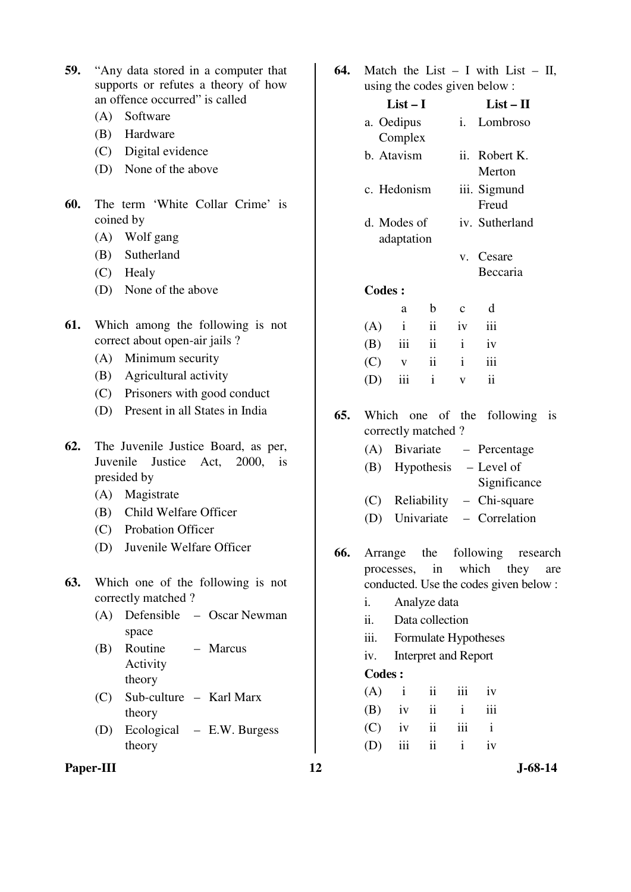| <b>59.</b> "Any data stored in a computer that |
|------------------------------------------------|
| supports or refutes a theory of how            |
| an offence occurred" is called                 |

- (A) Software
- (B) Hardware
- (C) Digital evidence
- (D) None of the above
- **60.** The term 'White Collar Crime' is coined by
	- (A) Wolf gang
	- (B) Sutherland
	- (C) Healy
	- (D) None of the above
- **61.** Which among the following is not correct about open-air jails ?
	- (A) Minimum security
	- (B) Agricultural activity
	- (C) Prisoners with good conduct
	- (D) Present in all States in India
- **62.** The Juvenile Justice Board, as per, Juvenile Justice Act, 2000, is presided by
	- (A) Magistrate
	- (B) Child Welfare Officer
	- (C) Probation Officer
	- (D) Juvenile Welfare Officer
- **63.** Which one of the following is not correctly matched ?
	- (A) Defensible Oscar Newman space
	- (B) Routine Activity theory – Marcus
	- (C) Sub-culture Karl Marx theory
	- (D) Ecological E.W. Burgess theory
- Paper-III **12** J-68-14

**64.** Match the List – I with List – II,

|     |                           |              |                             | using the codes given below: |                                        |      |     |
|-----|---------------------------|--------------|-----------------------------|------------------------------|----------------------------------------|------|-----|
|     | $List-I$                  |              |                             |                              | $List - II$                            |      |     |
|     | a. Oedipus                |              |                             | i.                           | Lombroso                               |      |     |
|     | Complex                   |              |                             |                              |                                        |      |     |
|     | b. Atavism<br>c. Hedonism |              |                             |                              | ii. Robert K.                          |      |     |
|     |                           |              |                             |                              | Merton                                 |      |     |
|     |                           |              |                             |                              | iii. Sigmund<br>Freud                  |      |     |
|     |                           | d. Modes of  |                             |                              | iv. Sutherland                         |      |     |
|     |                           | adaptation   |                             |                              |                                        |      |     |
|     |                           |              |                             | V.                           | Cesare                                 |      |     |
|     |                           |              |                             |                              | Beccaria                               |      |     |
|     | <b>Codes:</b>             |              |                             |                              |                                        |      |     |
|     |                           | a            | b                           | $\mathbf c$                  | d                                      |      |     |
|     | (A)                       | $\mathbf{i}$ | ii                          | iv                           | iii                                    |      |     |
|     | (B)                       | iii          | $\overline{\mathbf{1}}$     | $\mathbf{i}$                 | iv                                     |      |     |
|     | (C)                       | $\mathbf{V}$ | $\overline{\mathbf{u}}$     | $\mathbf{i}$                 | iii                                    |      |     |
|     | (D)                       | iii          | $\mathbf{i}$                | $\mathbf{V}$                 | $\mathbf{ii}$                          |      |     |
| 65. |                           |              | Which one of the            |                              | following                              |      | is  |
|     | correctly matched?        |              |                             |                              |                                        |      |     |
|     | (A)                       |              |                             |                              | Bivariate – Percentage                 |      |     |
|     | (B)                       |              |                             |                              | Hypothesis $-$ Level of                |      |     |
|     |                           |              |                             |                              | Significance                           |      |     |
|     |                           |              | (C) Reliability             |                              | - Chi-square                           |      |     |
|     |                           |              |                             |                              | (D) Univariate - Correlation           |      |     |
| 66. |                           |              |                             |                              | Arrange the following research         |      |     |
|     |                           | processes,   | in                          |                              | which                                  | they | are |
|     |                           |              |                             |                              | conducted. Use the codes given below : |      |     |
|     |                           |              | $\lambda = 1$ $\lambda = 1$ |                              |                                        |      |     |

- i. Analyze data
- ii. Data collection
- iii. Formulate Hypotheses
- iv. Interpret and Report

#### **Codes :**

|  | $(A)$ i ii iii iv |  |
|--|-------------------|--|
|  | $(B)$ iv ii i iii |  |
|  | $(C)$ iv ii iii i |  |
|  | $(D)$ iii ii i iv |  |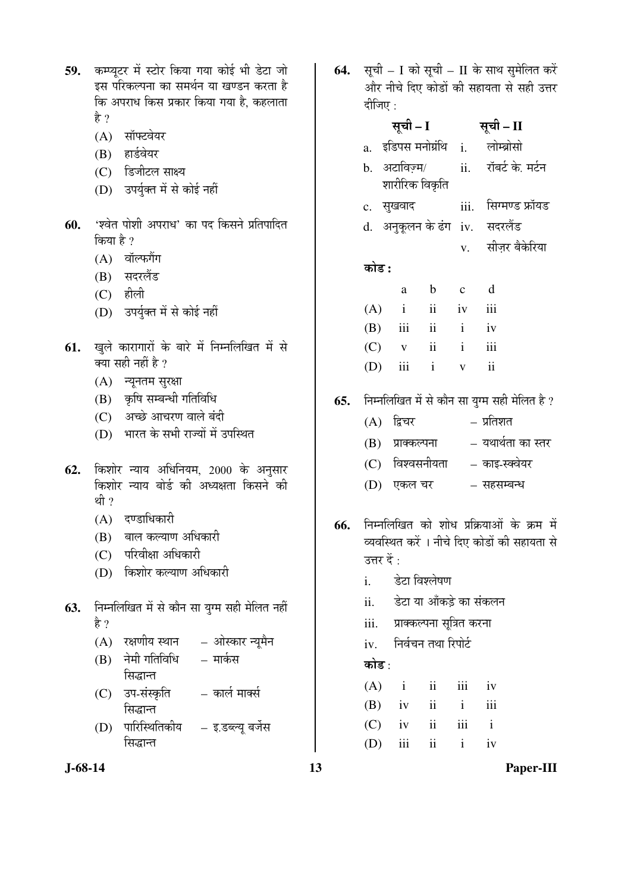| 59. | कम्प्यूटर में स्टोर किया गया कोई भी डेटा जो            |
|-----|--------------------------------------------------------|
|     | इस परिकल्पना का समर्थन या खण्डन करता है                |
|     | कि अपराध किस प्रकार किया गया है, कहलाता                |
|     | है ?                                                   |
|     | (A) सॉफ्टवेयर                                          |
|     | (B) हार्डवेयर                                          |
|     | (C) डिजीटल साक्ष्य                                     |
|     | (D) उपर्युक्त में से कोई नहीं                          |
|     |                                                        |
| 60. | 'श्वेत पोशी अपराध' का पद किसने प्रतिपादित<br>किया है ? |
|     |                                                        |
|     | (A) वॉल्फगैंग                                          |
|     | (B) सदरलैंड                                            |
|     | $(C)$ हीली                                             |
|     | (D) उपर्युक्त में से कोई नहीं                          |
| 61. | खुले कारागारों के बारे में निम्नलिखित में से           |
|     | क्या सही नहीं है ?                                     |
|     | (A) न्यूनतम सुरक्षा                                    |
|     | (B) कृषि सम्बन्धी गतिविधि                              |
|     | (C) अच्छे आचरण वाले बंदी                               |
|     | (D) भारत के सभी राज्यों में उपस्थित                    |
|     |                                                        |
| 62. | किशोर न्याय अधिनियम, 2000 के अनुसार                    |
|     | किशोर न्याय बोर्ड की अध्यक्षता किसने की                |
|     | थी ?                                                   |
|     | $\sim$ $\sim$                                          |

- $(A)$  दण्डाधिकारी
- (B) बाल कल्याण अधिकारी
- $(C)$  परिवीक्षा अधिकारी
- (D) किशोर कल्याण अधिकारी
- **63.** निम्नलिखित में से कौन सा युग्म सही मेलित नहीं है $?$ 
	- $(A)$  रक्षणीय स्थान ओस्कार न्यूमैन
	- $(B)$  नेमी गतिविधि सिद्धान्त – मार्कस
	- (C) उप-संस्कृति सिद्धान्त – कार्ल मार्क्स
	- (D) पारिस्थितिकीय सिद्धान्त – इ.डब्ल्यू बर्जेस
- 

64. सूची – I को सूची – II के साथ सुमेलित करें <u>और नीचे दिए कोडों की सहायता से सही उत्तर</u> दीजिए $\,$  :

|     |                                                                     | सूची – I            |                |              | सूची – II                                     |  |  |
|-----|---------------------------------------------------------------------|---------------------|----------------|--------------|-----------------------------------------------|--|--|
|     |                                                                     |                     |                |              | a. इडिपस <sup>ा</sup> नोग्रंथि i. लोम्ब्रोसो  |  |  |
|     |                                                                     | b. अटाविज़्म/       |                |              | ii.     रॉबर्ट के. मर्टन                      |  |  |
|     |                                                                     |                     | शारीरिक विकृति |              |                                               |  |  |
|     |                                                                     | c. सुखवाद           |                |              | iii. सिग्मण्ड फ्रॉयड                          |  |  |
|     |                                                                     |                     |                |              | d. अनुकूलन के ढंग iv. सदरलैंड                 |  |  |
|     |                                                                     |                     |                | V.           | सीज़र बैकेरिया                                |  |  |
|     | कोड :                                                               |                     |                |              |                                               |  |  |
|     |                                                                     | a                   | b c d          |              |                                               |  |  |
|     |                                                                     | $(A)$ i ii iv iii   |                |              |                                               |  |  |
|     |                                                                     | $(B)$ iii ii i iv   |                |              |                                               |  |  |
|     |                                                                     | $(C)$ v ii i iii    |                |              |                                               |  |  |
|     |                                                                     | $(D)$ iii i         |                | $\mathbf{V}$ | $\overline{\mathbf{ii}}$                      |  |  |
| 65. |                                                                     |                     |                |              | निम्नलिखित में से कौन सा युग्म सही मेलित है ? |  |  |
|     |                                                                     | (A) द्विचर          |                |              | – प्रतिशत                                     |  |  |
|     |                                                                     |                     |                |              | (B) प्राक्कल्पना   – यथार्थता का स्तर         |  |  |
|     |                                                                     |                     |                |              | (C) विश्वसनीयता – काइ-स्क्वेयर                |  |  |
|     |                                                                     |                     |                |              | (D) एकल चर             सहसम्बन्ध              |  |  |
| 66. |                                                                     |                     |                |              | निम्नलिखित को शोध प्रक्रियाओं के क्रम में     |  |  |
|     | व्यवस्थित करें । नीचे दिए कोडों की सहायता से<br>उत्तर दें :         |                     |                |              |                                               |  |  |
|     |                                                                     | i. डेटा विश्लेषण    |                |              |                                               |  |  |
|     |                                                                     |                     |                |              |                                               |  |  |
|     | डेटा या आँकड़े का संकलन<br>ii.<br>प्राक्कल्पना सूत्रित करना<br>iii. |                     |                |              |                                               |  |  |
|     |                                                                     |                     |                |              |                                               |  |  |
|     | iv.<br>कोड :                                                        | निर्वचन तथा रिपोर्ट |                |              |                                               |  |  |
|     |                                                                     | $(A)$ i             | $ii$ $iii$     |              | iv                                            |  |  |
|     |                                                                     | $(B)$ iv ii         |                | $\mathbf{i}$ | iii                                           |  |  |
|     |                                                                     |                     |                |              |                                               |  |  |

 $(C)$  iv ii iii i (D) iii ii i iv

**J-68-14 13 Paper-III**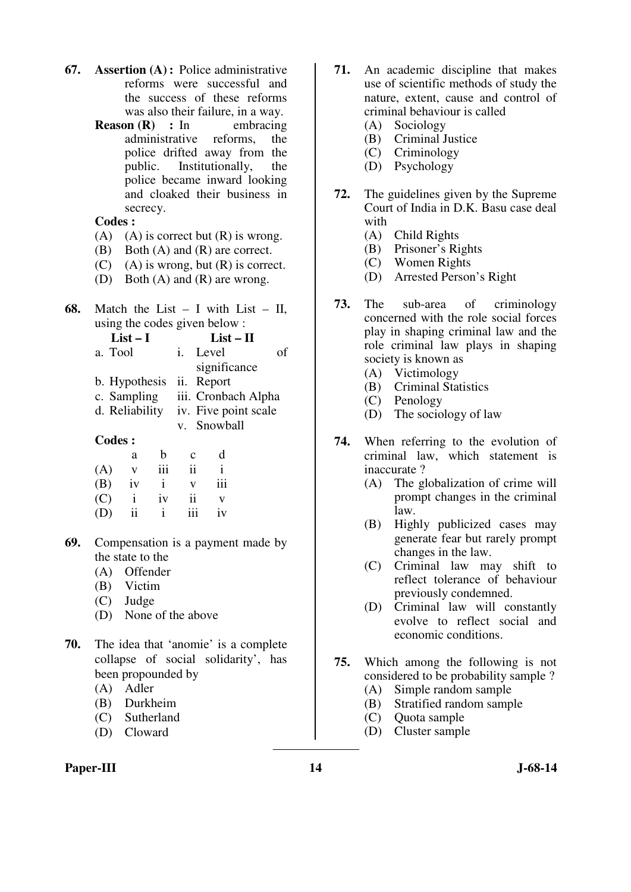- **67. Assertion (A) :** Police administrative reforms were successful and the success of these reforms was also their failure, in a way.
	- **Reason (R)** : In embracing administrative reforms, the police drifted away from the public. Institutionally, the police became inward looking and cloaked their business in secrecy.

### **Codes :**

- (A) (A) is correct but  $(R)$  is wrong.
- (B) Both (A) and (R) are correct.
- $(C)$  (A) is wrong, but  $(R)$  is correct.
- (D) Both (A) and (R) are wrong.
- **68.** Match the List  $I$  with List  $II$ , using the codes given below :

|--|

| a. Tool                  | i. Level             | Ωt |
|--------------------------|----------------------|----|
|                          | significance         |    |
| b. Hypothesis ii. Report |                      |    |
| c. Sampling              | iii. Cronbach Alpha  |    |
| d. Reliability           | iv. Five point scale |    |
|                          | v. Snowball          |    |

### **Codes :**

|     | a  | h   | $\mathbf c$ | d   |
|-----|----|-----|-------------|-----|
| (A) | V  | iii | ii          |     |
| (B) | iv | i   | v           | 111 |
| (C) |    | iv  | ii          | v   |
| (D) | ii |     | 111         | iv  |

- **69.** Compensation is a payment made by the state to the
	- (A) Offender
	- (B) Victim
	- (C) Judge
	- (D) None of the above
- **70.** The idea that 'anomie' is a complete collapse of social solidarity', has been propounded by
	- (A) Adler
	- (B) Durkheim
	- (C) Sutherland
	- (D) Cloward

### Paper-III **14** J-68-14

- **71.** An academic discipline that makes use of scientific methods of study the nature, extent, cause and control of criminal behaviour is called
	- (A) Sociology
	- (B) Criminal Justice
	- (C) Criminology
	- (D) Psychology
- **72.** The guidelines given by the Supreme Court of India in D.K. Basu case deal with
	- (A) Child Rights
	- (B) Prisoner's Rights
	- (C) Women Rights
	- (D) Arrested Person's Right
- **73.** The sub-area of criminology concerned with the role social forces play in shaping criminal law and the role criminal law plays in shaping society is known as
	- (A) Victimology
	- (B) Criminal Statistics
	- (C) Penology
	- (D) The sociology of law
- **74.** When referring to the evolution of criminal law, which statement is inaccurate ?
	- (A) The globalization of crime will prompt changes in the criminal law.
	- (B) Highly publicized cases may generate fear but rarely prompt changes in the law.
	- (C) Criminal law may shift to reflect tolerance of behaviour previously condemned.
	- (D) Criminal law will constantly evolve to reflect social and economic conditions.
- **75.** Which among the following is not considered to be probability sample ?
	- (A) Simple random sample
	- (B) Stratified random sample
	- (C) Quota sample
	- (D) Cluster sample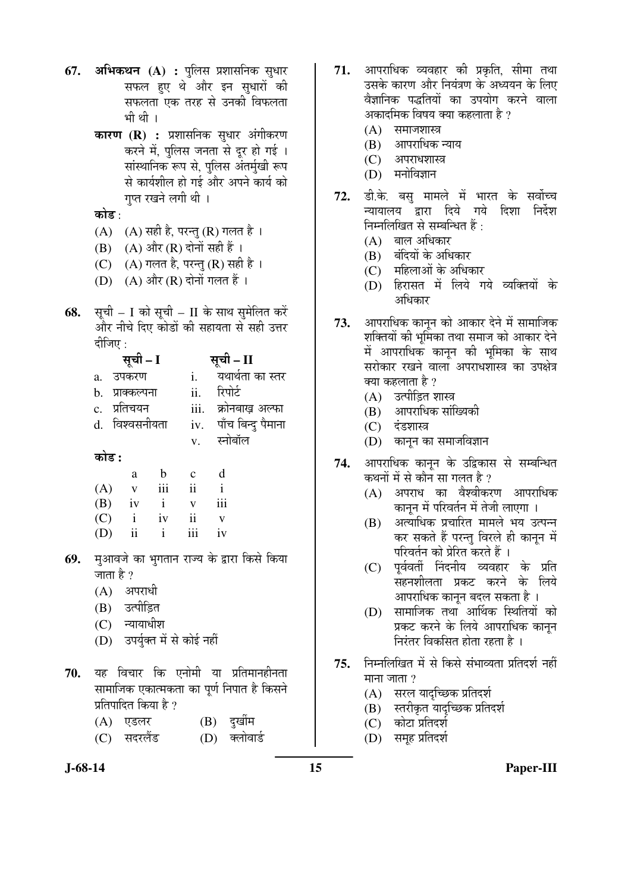- **67. अभिकथन (A) :** पुलिस प्रशासनिक सुधार सफल हुए थे और इन सधारों की सफलता एक तरह से उनकी विफलता भी थी ।
	- **कारण (R) :** प्रशासनिक सुधार अंगीकरण करने में, पुलिस जनता से दूर हो गई । सांस्थानिक रूप से, पुलिस अंतर्मुखी रूप से कार्यशील हो गई और अपने कार्य को गुप्त रखने लगी थी ।

कोड $\cdot$ 

- $(A)$   $(A)$  सही है, परन्तु  $(R)$  गलत है।
- $(B)$   $(A)$  और  $(R)$  दोनों सही हैं ।
- (C)  $(A)$  गलत है, परन्तु (R) सही है।
- $(D)$   $(A)$  और  $(R)$  दोनों गलत हैं ।
- **68.** सूची I को सूची II के साथ सुमेलित करें और नीचे दिए कोडों की सहायता से सही उत्तर दीजिए $\,\cdot\,$

|                                                       | सूची - I       |              | सूची – II              |
|-------------------------------------------------------|----------------|--------------|------------------------|
| a.                                                    | उपकरण          |              | यथार्थता का स्तर       |
| h.                                                    | प्राक्कल्पना   | ii.          | रिपोर्ट                |
|                                                       | c. प्रतिचयन    |              | iii.   क्रोनबाख़ अल्फा |
|                                                       | d. विश्वसनीयता |              | iv. पाँच बिन्दु पैमाना |
|                                                       |                | $V_{\star}$  | स्नोबॉल                |
|                                                       | कोड :          |              |                        |
|                                                       | a              | $\mathbf{C}$ |                        |
| $\left( \begin{array}{c} \Lambda \end{array} \right)$ |                |              |                        |

| (A) | V            | 111          | 11  |     |
|-----|--------------|--------------|-----|-----|
| (B) | iv           | $\mathbf{1}$ | v   | 111 |
| (C) | $\mathbf{i}$ | iv           | ii  | v   |
| (D) | ii           |              | 111 | iv  |

- **69.** मुआवजे का भुगतान राज्य के द्वारा किसे किया जाता है ?
	- $(A)$  अपराधी
	- (B) उत्पीड़ित
	- $(C)$  न्यायाधीश
	- (D) उपर्युक्त में से कोई नहीं
- **70.** यह विचार कि एनोमी या प्रतिमानहीनता सामाजिक एकात्मकता का पूर्ण निपात है किसने प्रतिपादित किया है ?
	- (A) एडलर (B) दुर्खीम
	- (C) सदरलैंड (D) क्लोवार्ड
- 71. आपराधिक व्यवहार की प्रकृति, सीमा तथा उसके कारण और नियंत्रण के अध्ययन के लिए वैज्ञानिक पद्धतियों का उपयोग करने वाला अकादमिक विषय क्या कहलाता है ?
	- $(A)$  समाजशास्त्र
	- $(B)$  आपराधिक न्याय
	- (C) अपराधशास्त्र
	- $(D)$  मनोविज्ञान
- 72. डी.के. बस् मामले में भारत के सर्वोच्च न्यायालय द्रारा दिये गये दिशा निर्देश निम्नलिखित से सम्बन्धित हैं:
	- $(A)$  बाल अधिकार
	- $(B)$  बंदियों के अधिकार
	- (C) महिलाओं के अधिकार
	- (D) हिरासत में लिये गये व्यक्तियों के आधिकार
- 73. आपराधिक कानून को आकार देने में सामाजिक शक्तियों की भर्मिका तथा समाज को आकार देने में आपराधिक कानून की भूमिका के साथ सरोकार रखने वाला अपराधशास्त्र का उपक्षेत्र क्या कहलाता है ?
	- $(A)$  उत्पीड़ित शास्त्र
	- (B) आपराधिक सांख्यिकी
	- (C) दंडशास्त्र
	- $(D)$  कानून का समाजविज्ञान
- 74. आपराधिक कानून के उद्विकास से सम्बन्धित कथनों में से कौन सा गलत है ?
	- $(A)$  अपराध का वैश्वीकरण आपराधिक कानून में परिवर्तन में तेजी लाएगा ।
	- (B) अत्याधिक प्रचारित मामले भय उत्पन्न कर सकते हैं परन्तु विरले ही कानून में परिवर्तन को प्रेरित करते हैं ।
	- (C) पूर्ववर्ती निंदनीय व्यवहार के प्रति सहनशीलता प्रकट करने के लिये आपराधिक कानून बदल सकता है ।
	- (D) सामाजिक तथा आर्थिक स्थितियों को प्रकट करने के लिये आपराधिक कानन निरंतर विकसित होता रहता है ।
- 75. निम्नलिखित में से किसे संभाव्यता प्रतिदर्श नहीं माना $\overline{S}$ ाता $\overline{S}$ 
	- (A) सरल यादच्छिक प्रतिदर्श
	- $(B)$  स्तरीकृत यादृच्छिक प्रतिदर्श
	- (C) कोटा प्रतिदर्श
	- (D) समूह प्रतिदर्श